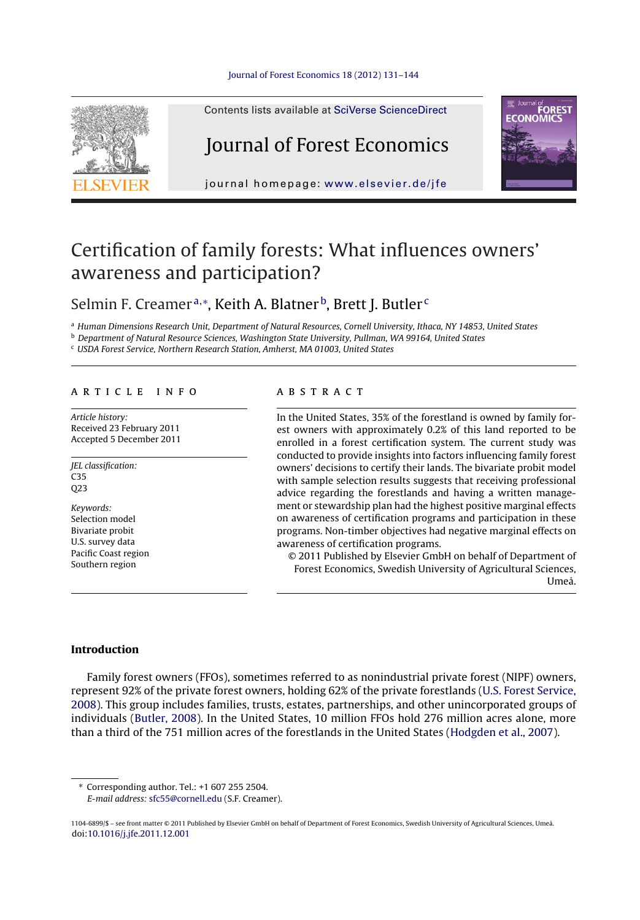

Contents lists available at [SciVerse ScienceDirect](http://www.sciencedirect.com/science/journal/11046899)

## Journal of Forest Economics



journal homepage: [www.elsevier.de/jfe](http://www.elsevier.de/jfe)

# Certification of family forests: What influences owners' awareness and participation?

### Selmin F. Creamer<sup>a,</sup>\*, Keith A. Blatner<sup>b</sup>, Brett J. Butler<sup>c</sup>

<sup>a</sup> Human Dimensions Research Unit, Department of Natural Resources, Cornell University, Ithaca, NY 14853, United States

<sup>b</sup> Department of Natural Resource Sciences, Washington State University, Pullman, WA 99164, United States

<sup>c</sup> USDA Forest Service, Northern Research Station, Amherst, MA 01003, United States

#### article info

Article history: Received 23 February 2011 Accepted 5 December 2011

JEL classification:  $C35$ Q23

Keywords: Selection model Bivariate probit U.S. survey data Pacific Coast region Southern region

#### **ABSTRACT**

In the United States, 35% of the forestland is owned by family forest owners with approximately 0.2% of this land reported to be enrolled in a forest certification system. The current study was conducted to provide insights into factors influencing family forest owners' decisions to certify their lands. The bivariate probit model with sample selection results suggests that receiving professional advice regarding the forestlands and having a written management or stewardship plan had the highest positive marginal effects on awareness of certification programs and participation in these programs. Non-timber objectives had negative marginal effects on awareness of certification programs.

© 2011 Published by Elsevier GmbH on behalf of Department of Forest Economics, Swedish University of Agricultural Sciences, Umeå.

#### **Introduction**

Family forest owners (FFOs), sometimes referred to as nonindustrial private forest (NIPF) owners, represent 92% of the private forest owners, holding 62% of the private forestlands [\(U.S. Forest Service,](#page-13-0) [2008\).](#page-13-0) This group includes families, trusts, estates, partnerships, and other unincorporated groups of individuals [\(Butler, 2008\).](#page-12-0) In the United States, 10 million FFOs hold 276 million acres alone, more than a third of the 751 million acres of the forestlands in the United States ([Hodgden et al., 2007\).](#page-12-0)

∗ Corresponding author. Tel.: +1 607 255 2504.

E-mail address: [sfc55@cornell.edu](mailto:sfc55@cornell.edu) (S.F. Creamer).

<sup>1104-6899/\$ –</sup> see front matter © 2011 Published by Elsevier GmbH on behalf of Department of Forest Economics, Swedish University of Agricultural Sciences, Umeå. doi:[10.1016/j.jfe.2011.12.001](dx.doi.org/10.1016/j.jfe.2011.12.001)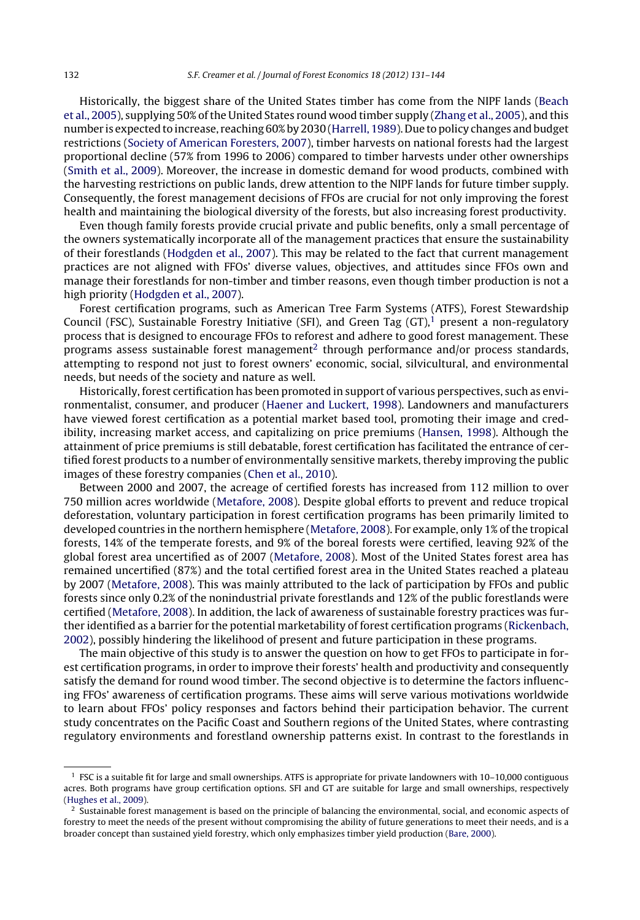Historically, the biggest share of the United States timber has come from the NIPF lands ([Beach](#page-12-0) [et al., 2005\),](#page-12-0) supplying 50% of the United States round wood timber supply ([Zhang et al., 2005\),](#page-13-0) and this number is expected to increase, reaching 60% by 2030 ([Harrell, 1989\).](#page-12-0) Due to policy changes and budget restrictions [\(Society of American Foresters, 2007\),](#page-13-0) timber harvests on national forests had the largest proportional decline (57% from 1996 to 2006) compared to timber harvests under other ownerships ([Smith et al., 2009\).](#page-13-0) Moreover, the increase in domestic demand for wood products, combined with the harvesting restrictions on public lands, drew attention to the NIPF lands for future timber supply. Consequently, the forest management decisions of FFOs are crucial for not only improving the forest health and maintaining the biological diversity of the forests, but also increasing forest productivity.

Even though family forests provide crucial private and public benefits, only a small percentage of the owners systematically incorporate all of the management practices that ensure the sustainability of their forestlands [\(Hodgden et al., 2007\).](#page-12-0) This may be related to the fact that current management practices are not aligned with FFOs' diverse values, objectives, and attitudes since FFOs own and manage their forestlands for non-timber and timber reasons, even though timber production is not a high priority [\(Hodgden et al., 2007\).](#page-12-0)

Forest certification programs, such as American Tree Farm Systems (ATFS), Forest Stewardship Council (FSC), Sustainable Forestry Initiative (SFI), and Green Tag (GT),<sup>1</sup> present a non-regulatory process that is designed to encourage FFOs to reforest and adhere to good forest management. These programs assess sustainable forest management<sup>2</sup> through performance and/or process standards, attempting to respond not just to forest owners' economic, social, silvicultural, and environmental needs, but needs of the society and nature as well.

Historically, forest certification has been promoted in support of various perspectives, such as environmentalist, consumer, and producer [\(Haener and Luckert, 1998\).](#page-12-0) Landowners and manufacturers have viewed forest certification as a potential market based tool, promoting their image and credibility, increasing market access, and capitalizing on price premiums ([Hansen, 1998\).](#page-12-0) Although the attainment of price premiums is still debatable, forest certification has facilitated the entrance of certified forest products to a number of environmentally sensitive markets, thereby improving the public images of these forestry companies [\(Chen et al., 2010\).](#page-12-0)

Between 2000 and 2007, the acreage of certified forests has increased from 112 million to over 750 million acres worldwide ([Metafore, 2008\).](#page-13-0) Despite global efforts to prevent and reduce tropical deforestation, voluntary participation in forest certification programs has been primarily limited to developed countries in the northern hemisphere ([Metafore, 2008\).](#page-13-0) For example, only 1% of the tropical forests, 14% of the temperate forests, and 9% of the boreal forests were certified, leaving 92% of the global forest area uncertified as of 2007 [\(Metafore, 2008\).](#page-13-0) Most of the United States forest area has remained uncertified (87%) and the total certified forest area in the United States reached a plateau by 2007 ([Metafore, 2008\).](#page-13-0) This was mainly attributed to the lack of participation by FFOs and public forests since only 0.2% of the nonindustrial private forestlands and 12% of the public forestlands were certified ([Metafore, 2008\).](#page-13-0) In addition, the lack of awareness of sustainable forestry practices was further identified as a barrier for the potential marketability of forest certification programs ([Rickenbach,](#page-13-0) [2002\),](#page-13-0) possibly hindering the likelihood of present and future participation in these programs.

The main objective of this study is to answer the question on how to get FFOs to participate in forest certification programs, in order to improve their forests' health and productivity and consequently satisfy the demand for round wood timber. The second objective is to determine the factors influencing FFOs' awareness of certification programs. These aims will serve various motivations worldwide to learn about FFOs' policy responses and factors behind their participation behavior. The current study concentrates on the Pacific Coast and Southern regions of the United States, where contrasting regulatory environments and forestland ownership patterns exist. In contrast to the forestlands in

 $1$  FSC is a suitable fit for large and small ownerships. ATFS is appropriate for private landowners with  $10-10,000$  contiguous acres. Both programs have group certification options. SFI and GT are suitable for large and small ownerships, respectively [\(Hughes et al., 2009\).](#page-12-0)

<sup>&</sup>lt;sup>2</sup> Sustainable forest management is based on the principle of balancing the environmental, social, and economic aspects of forestry to meet the needs of the present without compromising the ability of future generations to meet their needs, and is a broader concept than sustained yield forestry, which only emphasizes timber yield production [\(Bare, 2000\).](#page-12-0)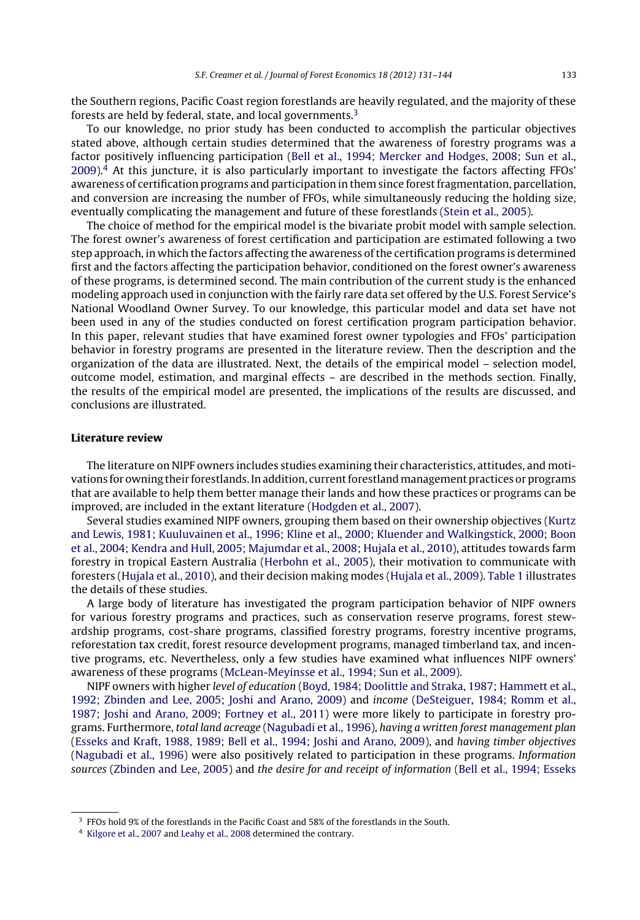the Southern regions, Pacific Coast region forestlands are heavily regulated, and the majority of these forests are held by federal, state, and local governments. $3$ 

To our knowledge, no prior study has been conducted to accomplish the particular objectives stated above, although certain studies determined that the awareness of forestry programs was a factor positively influencing participation [\(Bell et al., 1994; Mercker and Hodges, 2008; Sun et al.,](#page-12-0)  $2009$ ).<sup>4</sup> At this juncture, it is also particularly important to investigate the factors affecting FFOs' awareness of certification programs and participation in them since forest fragmentation, parcellation, and conversion are increasing the number of FFOs, while simultaneously reducing the holding size, eventually complicating the management and future of these forestlands ([Stein et al., 2005\).](#page-13-0)

The choice of method for the empirical model is the bivariate probit model with sample selection. The forest owner's awareness of forest certification and participation are estimated following a two step approach, in which the factors affecting the awareness of the certification programs is determined first and the factors affecting the participation behavior, conditioned on the forest owner's awareness of these programs, is determined second. The main contribution of the current study is the enhanced modeling approach used in conjunction with the fairly rare data set offered by the U.S. Forest Service's National Woodland Owner Survey. To our knowledge, this particular model and data set have not been used in any of the studies conducted on forest certification program participation behavior. In this paper, relevant studies that have examined forest owner typologies and FFOs' participation behavior in forestry programs are presented in the literature review. Then the description and the organization of the data are illustrated. Next, the details of the empirical model – selection model, outcome model, estimation, and marginal effects – are described in the methods section. Finally, the results of the empirical model are presented, the implications of the results are discussed, and conclusions are illustrated.

#### **Literature review**

The literature on NIPF owners includes studies examining their characteristics, attitudes, and motivations for owning their forestlands. In addition, current forestlandmanagement practices or programs that are available to help them better manage their lands and how these practices or programs can be improved, are included in the extant literature ([Hodgden et al., 2007\).](#page-12-0)

Several studies examined NIPF owners, grouping them based on their ownership objectives ([Kurtz](#page-13-0) [and Lewis, 1981; Kuuluvainen et al., 1996; Kline et al., 2000; Kluender and Walkingstick, 2000; Boon](#page-13-0) [et al., 2004; Kendra and Hull, 2005; Majumdar et al., 2008; Hujala et al., 2010\),](#page-13-0) attitudes towards farm forestry in tropical Eastern Australia ([Herbohn et al., 2005\),](#page-12-0) their motivation to communicate with foresters ([Hujala et al., 2010\),](#page-12-0) and their decision making modes [\(Hujala et al., 2009\).](#page-12-0) [Table 1](#page-3-0) illustrates the details of these studies.

A large body of literature has investigated the program participation behavior of NIPF owners for various forestry programs and practices, such as conservation reserve programs, forest stewardship programs, cost-share programs, classified forestry programs, forestry incentive programs, reforestation tax credit, forest resource development programs, managed timberland tax, and incentive programs, etc. Nevertheless, only a few studies have examined what influences NIPF owners' awareness of these programs ([McLean-Meyinsse et al., 1994; Sun et al., 2009\).](#page-13-0)

NIPF owners with higher level of education ([Boyd, 1984; Doolittle and Straka, 1987; Hammett et al.,](#page-12-0) [1992; Zbinden and Lee, 2005; Joshi and Arano, 2009\)](#page-12-0) and income ([DeSteiguer, 1984; Romm et al.,](#page-12-0) [1987; Joshi and Arano, 2009; Fortney et al., 2011\)](#page-12-0) were more likely to participate in forestry programs. Furthermore, total land acreage ([Nagubadi et al., 1996\),](#page-13-0) having a written forest management plan [\(Esseks and Kraft, 1988, 1989; Bell et al., 1994; Joshi and Arano, 2009\),](#page-12-0) and having timber objectives [\(Nagubadi et al., 1996\)](#page-13-0) were also positively related to participation in these programs. Information sources ([Zbinden and Lee, 2005\)](#page-13-0) and the desire for and receipt of information [\(Bell et al., 1994; Esseks](#page-12-0)

<sup>&</sup>lt;sup>3</sup> FFOs hold 9% of the forestlands in the Pacific Coast and 58% of the forestlands in the South.

<sup>4</sup> [Kilgore et al., 2007](#page-12-0) and [Leahy et al., 2008](#page-13-0) determined the contrary.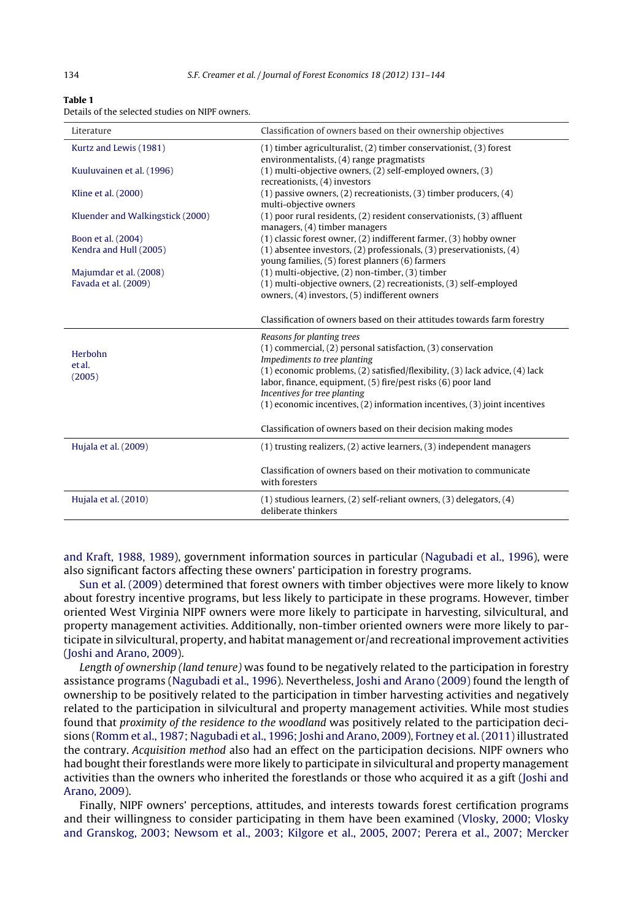#### <span id="page-3-0"></span>**Table 1**

| Details of the selected studies on NIPF owners. |
|-------------------------------------------------|
|-------------------------------------------------|

| Literature                                     | Classification of owners based on their ownership objectives                                                                                                                                                                                                                                                   |
|------------------------------------------------|----------------------------------------------------------------------------------------------------------------------------------------------------------------------------------------------------------------------------------------------------------------------------------------------------------------|
| Kurtz and Lewis (1981)                         | (1) timber agriculturalist, (2) timber conservationist, (3) forest<br>environmentalists, (4) range pragmatists                                                                                                                                                                                                 |
| Kuuluvainen et al. (1996)                      | $(1)$ multi-objective owners, $(2)$ self-employed owners, $(3)$<br>recreationists, (4) investors                                                                                                                                                                                                               |
| Kline et al. (2000)                            | $(1)$ passive owners, $(2)$ recreationists, $(3)$ timber producers, $(4)$<br>multi-objective owners                                                                                                                                                                                                            |
| Kluender and Walkingstick (2000)               | $(1)$ poor rural residents, $(2)$ resident conservationists, $(3)$ affluent<br>managers, (4) timber managers                                                                                                                                                                                                   |
| Boon et al. (2004)<br>Kendra and Hull (2005)   | (1) classic forest owner, (2) indifferent farmer, (3) hobby owner<br>$(1)$ absentee investors, $(2)$ professionals, $(3)$ preservationists, $(4)$                                                                                                                                                              |
| Majumdar et al. (2008)<br>Favada et al. (2009) | young families, (5) forest planners (6) farmers<br>$(1)$ multi-objective, $(2)$ non-timber, $(3)$ timber<br>(1) multi-objective owners, (2) recreationists, (3) self-employed                                                                                                                                  |
|                                                | owners, (4) investors, (5) indifferent owners                                                                                                                                                                                                                                                                  |
|                                                | Classification of owners based on their attitudes towards farm forestry                                                                                                                                                                                                                                        |
| Herbohn<br>et al.<br>(2005)                    | Reasons for planting trees<br>$(1)$ commercial, $(2)$ personal satisfaction, $(3)$ conservation<br>Impediments to tree planting<br>(1) economic problems, (2) satisfied/flexibility, (3) lack advice, (4) lack<br>labor, finance, equipment, (5) fire/pest risks (6) poor land<br>Incentives for tree planting |
|                                                | $(1)$ economic incentives, $(2)$ information incentives, $(3)$ joint incentives                                                                                                                                                                                                                                |
|                                                | Classification of owners based on their decision making modes                                                                                                                                                                                                                                                  |
| Hujala et al. (2009)                           | $(1)$ trusting realizers, $(2)$ active learners, $(3)$ independent managers                                                                                                                                                                                                                                    |
|                                                | Classification of owners based on their motivation to communicate<br>with foresters                                                                                                                                                                                                                            |
| Hujala et al. (2010)                           | $(1)$ studious learners, $(2)$ self-reliant owners, $(3)$ delegators, $(4)$<br>deliberate thinkers                                                                                                                                                                                                             |

[and Kraft, 1988, 1989\),](#page-12-0) government information sources in particular ([Nagubadi et al., 1996\),](#page-13-0) were also significant factors affecting these owners' participation in forestry programs.

[Sun et al. \(2009\)](#page-13-0) determined that forest owners with timber objectives were more likely to know about forestry incentive programs, but less likely to participate in these programs. However, timber oriented West Virginia NIPF owners were more likely to participate in harvesting, silvicultural, and property management activities. Additionally, non-timber oriented owners were more likely to participate in silvicultural, property, and habitat management or/and recreational improvement activities ([Joshi and Arano, 2009\).](#page-12-0)

Length of ownership (land tenure) was found to be negatively related to the participation in forestry assistance programs ([Nagubadi et al., 1996\).](#page-13-0) Nevertheless, [Joshi and Arano \(2009\)](#page-12-0) found the length of ownership to be positively related to the participation in timber harvesting activities and negatively related to the participation in silvicultural and property management activities. While most studies found that proximity of the residence to the woodland was positively related to the participation deci-sions [\(Romm et al., 1987; Nagubadi et al., 1996; Joshi and Arano, 2009\),](#page-13-0) Fortney et al. (2011) illustrated the contrary. Acquisition method also had an effect on the participation decisions. NIPF owners who had bought their forestlands were more likely to participate in silvicultural and property management activities than the owners who inherited the forestlands or those who acquired it as a gift [\(Joshi and](#page-12-0) [Arano, 2009\).](#page-12-0)

Finally, NIPF owners' perceptions, attitudes, and interests towards forest certification programs and their willingness to consider participating in them have been examined ([Vlosky, 2000; Vlosky](#page-13-0) [and Granskog, 2003; Newsom et al., 2003; Kilgore et al., 2005, 2007; Perera et al., 2007; Mercker](#page-13-0)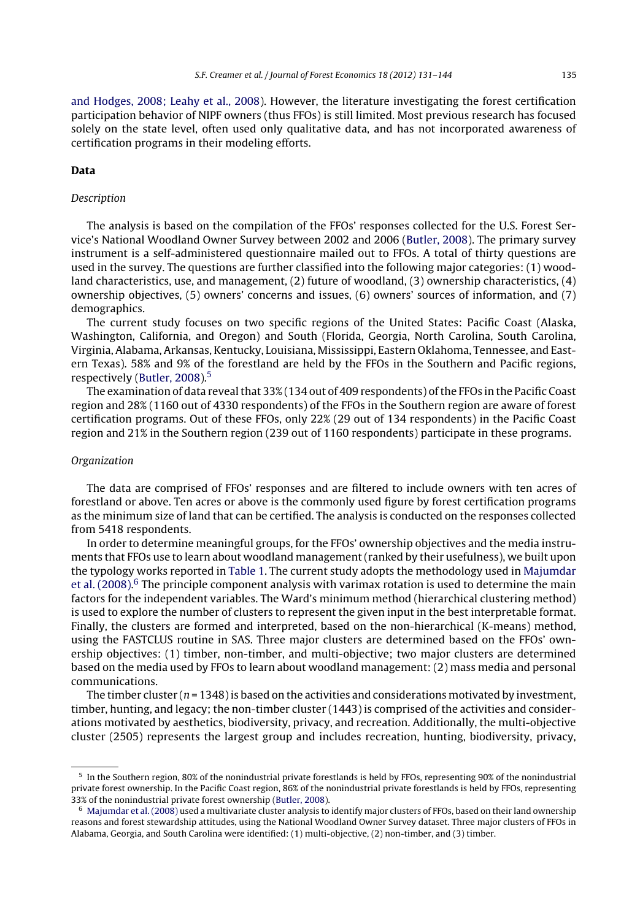[and Hodges, 2008; Leahy et al., 2008\).](#page-13-0) However, the literature investigating the forest certification participation behavior of NIPF owners (thus FFOs) is still limited. Most previous research has focused solely on the state level, often used only qualitative data, and has not incorporated awareness of certification programs in their modeling efforts.

#### **Data**

#### Description

The analysis is based on the compilation of the FFOs' responses collected for the U.S. Forest Service's National Woodland Owner Survey between 2002 and 2006 [\(Butler, 2008\).](#page-12-0) The primary survey instrument is a self-administered questionnaire mailed out to FFOs. A total of thirty questions are used in the survey. The questions are further classified into the following major categories: (1) woodland characteristics, use, and management, (2) future of woodland, (3) ownership characteristics, (4) ownership objectives, (5) owners' concerns and issues, (6) owners' sources of information, and (7) demographics.

The current study focuses on two specific regions of the United States: Pacific Coast (Alaska, Washington, California, and Oregon) and South (Florida, Georgia, North Carolina, South Carolina, Virginia, Alabama, Arkansas, Kentucky, Louisiana, Mississippi, Eastern Oklahoma, Tennessee, and Eastern Texas). 58% and 9% of the forestland are held by the FFOs in the Southern and Pacific regions, respectively ([Butler, 2008\).](#page-12-0)5

The examination of data reveal that 33% (134 out of 409 respondents) of the FFOs in the Pacific Coast region and 28% (1160 out of 4330 respondents) of the FFOs in the Southern region are aware of forest certification programs. Out of these FFOs, only 22% (29 out of 134 respondents) in the Pacific Coast region and 21% in the Southern region (239 out of 1160 respondents) participate in these programs.

#### Organization

The data are comprised of FFOs' responses and are filtered to include owners with ten acres of forestland or above. Ten acres or above is the commonly used figure by forest certification programs as the minimum size of land that can be certified. The analysis is conducted on the responses collected from 5418 respondents.

In order to determine meaningful groups, for the FFOs' ownership objectives and the media instruments that FFOs use to learn about woodland management (ranked by their usefulness), we built upon the typology works reported in [Table 1. T](#page-3-0)he current study adopts the methodology used in [Majumdar](#page-13-0) [et al. \(2008\).](#page-13-0)<sup>6</sup> The principle component analysis with varimax rotation is used to determine the main factors for the independent variables. The Ward's minimum method (hierarchical clustering method) is used to explore the number of clusters to represent the given input in the best interpretable format. Finally, the clusters are formed and interpreted, based on the non-hierarchical (K-means) method, using the FASTCLUS routine in SAS. Three major clusters are determined based on the FFOs' ownership objectives: (1) timber, non-timber, and multi-objective; two major clusters are determined based on the media used by FFOs to learn about woodland management: (2) mass media and personal communications.

The timber cluster ( $n = 1348$ ) is based on the activities and considerations motivated by investment, timber, hunting, and legacy; the non-timber cluster (1443) is comprised of the activities and considerations motivated by aesthetics, biodiversity, privacy, and recreation. Additionally, the multi-objective cluster (2505) represents the largest group and includes recreation, hunting, biodiversity, privacy,

<sup>5</sup> In the Southern region, 80% of the nonindustrial private forestlands is held by FFOs, representing 90% of the nonindustrial private forest ownership. In the Pacific Coast region, 86% of the nonindustrial private forestlands is held by FFOs, representing 33% of the nonindustrial private forest ownership [\(Butler, 2008\).](#page-12-0)

 $6$  [Majumdar et al. \(2008\)](#page-13-0) used a multivariate cluster analysis to identify major clusters of FFOs, based on their land ownership reasons and forest stewardship attitudes, using the National Woodland Owner Survey dataset. Three major clusters of FFOs in Alabama, Georgia, and South Carolina were identified: (1) multi-objective, (2) non-timber, and (3) timber.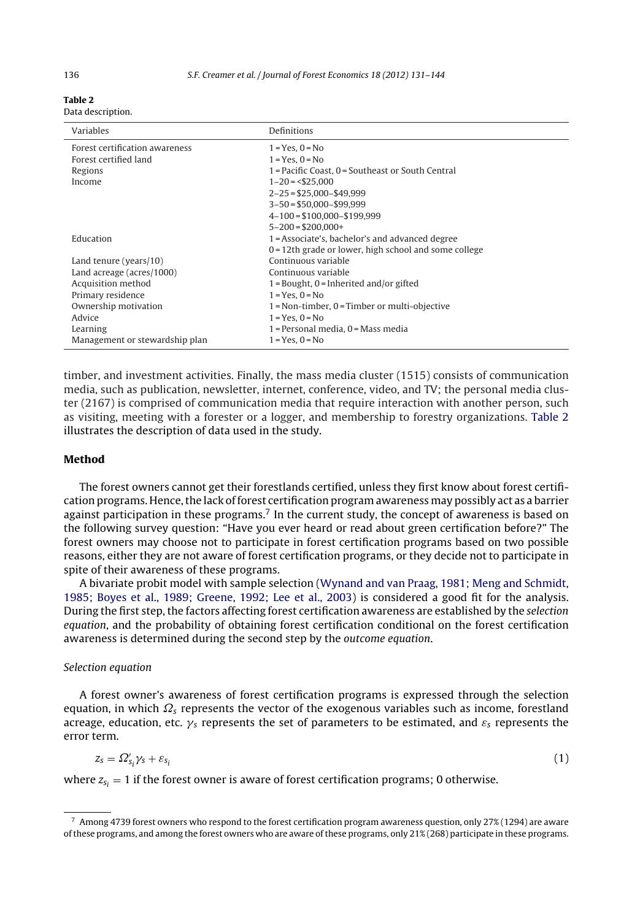| Table 2           |
|-------------------|
| Data description. |

| Variables                      | Definitions                                              |
|--------------------------------|----------------------------------------------------------|
| Forest certification awareness | $1 = Yes$ , $0 = No$                                     |
| Forest certified land          | $1 = Yes$ , $0 = No$                                     |
| Regions                        | 1 = Pacific Coast, 0 = Southeast or South Central        |
| Income                         | $1 - 20 = 525.000$                                       |
|                                | $2 - 25 = $25.000 - $49.999$                             |
|                                | $3 - 50 = $50.000 - $99.999$                             |
|                                | $4 - 100 = $100,000 - $199,999$                          |
|                                | $5 - 200 = $200.000+$                                    |
| Education                      | 1 = Associate's, bachelor's and advanced degree          |
|                                | $0 = 12$ th grade or lower, high school and some college |
| Land tenure (years/10)         | Continuous variable                                      |
| Land acreage (acres/1000)      | Continuous variable                                      |
| Acquisition method             | 1 = Bought, 0 = Inherited and/or gifted                  |
| Primary residence              | $1 = Yes$ , $0 = No$                                     |
| Ownership motivation           | 1 = Non-timber, 0 = Timber or multi-objective            |
| Advice                         | $1 = Yes$ , $0 = No$                                     |
| Learning                       | 1 = Personal media. 0 = Mass media                       |
| Management or stewardship plan | $1 = Yes$ , $0 = No$                                     |

timber, and investment activities. Finally, the mass media cluster (1515) consists of communication media, such as publication, newsletter, internet, conference, video, and TV; the personal media cluster (2167) is comprised of communication media that require interaction with another person, such as visiting, meeting with a forester or a logger, and membership to forestry organizations. Table 2 illustrates the description of data used in the study.

#### **Method**

The forest owners cannot get their forestlands certified, unless they first know about forest certification programs. Hence, the lack of forest certification program awareness may possibly act as a barrier against participation in these programs.<sup>7</sup> In the current study, the concept of awareness is based on the following survey question: "Have you ever heard or read about green certification before?" The forest owners may choose not to participate in forest certification programs based on two possible reasons, either they are not aware of forest certification programs, or they decide not to participate in spite of their awareness of these programs.

A bivariate probit model with sample selection [\(Wynand and van Praag, 1981; Meng and Schmidt,](#page-13-0) [1985; Boyes et al., 1989; Greene, 1992; Lee et al., 2003\)](#page-13-0) is considered a good fit for the analysis. During the first step, the factors affecting forest certification awareness are established by the selection equation, and the probability of obtaining forest certification conditional on the forest certification awareness is determined during the second step by the outcome equation.

#### Selection equation

A forest owner's awareness of forest certification programs is expressed through the selection equation, in which  $\Omega_s$  represents the vector of the exogenous variables such as income, forestland acreage, education, etc.  $\gamma_s$  represents the set of parameters to be estimated, and  $\varepsilon_{\text{s}}$  represents the error term.

$$
z_s = \Omega'_{s_i} \gamma_s + \varepsilon_{s_i} \tag{1}
$$

where  $z_{s} = 1$  if the forest owner is aware of forest certification programs; 0 otherwise.

 $^7$  Among 4739 forest owners who respond to the forest certification program awareness question, only 27% (1294) are aware of these programs, and among the forest owners who are aware of these programs, only 21% (268) participate in these programs.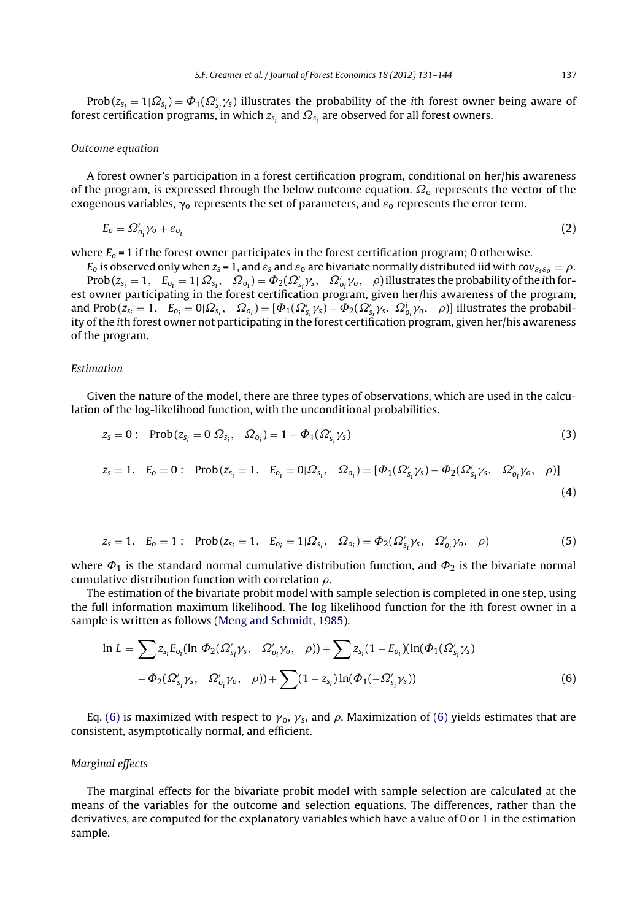Prob( $z_{s_i} = 1| \Omega_{s_i}$ ) =  $\Phi_1(\Omega'_{s_i} \gamma_s)$  illustrates the probability of the ith forest owner being aware of forest certification programs, in which  $z_{s_i}$  and  $\Omega_{s_i}$  are observed for all forest owners.

#### Outcome equation

A forest owner's participation in a forest certification program, conditional on her/his awareness of the program, is expressed through the below outcome equation.  $\Omega_0$  represents the vector of the exogenous variables,  $\gamma_{\rm o}$  represents the set of parameters, and  $\varepsilon_{\rm o}$  represents the error term.

$$
E_0 = \Omega'_{o_i} \gamma_0 + \varepsilon_{o_i} \tag{2}
$$

where  $E_0$  = 1 if the forest owner participates in the forest certification program; 0 otherwise.

 $E_0$  is observed only when  $z_s = 1$ , and  $\varepsilon_s$  and  $\varepsilon_0$  are bivariate normally distributed iid with  $cov_{\varepsilon_s \varepsilon_0} = \rho$ .  $Prob(z_{s_i} = 1, E_{o_i} = 1 | \Omega_{s_i}, \Omega_{o_i}) = \Phi_2(\Omega'_{s_i} \gamma_s, \Omega'_{o_i} \gamma_o, \rho)$ illustrates the probability of the ith forest owner participating in the forest certification program, given her/his awareness of the program, and Prob  $(z_{s_i} = 1, E_{o_i} = 0 | \Omega_{s_i}, \Omega_{o_i}) = [\Phi_1(\Omega'_{s_i} \gamma_s) - \Phi_2(\Omega'_{s_i} \gamma_s, \Omega^i_{o_i} \gamma_o, \rho)]$  illustrates the probability of the ith forest owner not participating in the forest certification program, given her/his awareness of the program.

#### Estimation

Given the nature of the model, there are three types of observations, which are used in the calculation of the log-likelihood function, with the unconditional probabilities.

$$
z_s = 0: \quad \text{Prob}(z_{s_i} = 0 | \Omega_{s_i}, \quad \Omega_{o_i}) = 1 - \Phi_1(\Omega'_{s_i} \gamma_s)
$$
\n
$$
\tag{3}
$$

$$
z_{s} = 1, E_{o} = 0: Prob(z_{s_{i}} = 1, E_{o_{i}} = 0 | \Omega_{s_{i}}, \Omega_{o_{i}}) = [\Phi_{1}(\Omega'_{s_{i}}\gamma_{s}) - \Phi_{2}(\Omega'_{s_{i}}\gamma_{s}, \Omega'_{o_{i}}\gamma_{o}, \rho)]
$$
\n(4)

$$
z_{s} = 1, E_{0} = 1: Prob(z_{s_{i}} = 1, E_{o_{i}} = 1 | \Omega_{s_{i}}, \Omega_{o_{i}}) = \Phi_{2}(\Omega'_{s_{i}} \gamma_{s}, \Omega'_{o_{i}} \gamma_{o}, \rho)
$$
(5)

where  $\Phi_1$  is the standard normal cumulative distribution function, and  $\Phi_2$  is the bivariate normal cumulative distribution function with correlation  $\rho$ .

The estimation of the bivariate probit model with sample selection is completed in one step, using the full information maximum likelihood. The log likelihood function for the ith forest owner in a sample is written as follows ([Meng and Schmidt, 1985\).](#page-13-0)

$$
\ln L = \sum z_{s_i} E_{o_i} (\ln \Phi_2(\Omega_{s_i}' \gamma_s, \Omega'_{o_i} \gamma_o, \rho)) + \sum z_{s_i} (1 - E_{o_i}) (\ln(\Phi_1(\Omega_{s_i}' \gamma_s)) - \Phi_2(\Omega'_{s_i} \gamma_s, \Omega'_{o_i} \gamma_o, \rho)) + \sum (1 - z_{s_i}) \ln(\Phi_1(-\Omega'_{s_i} \gamma_s))
$$
(6)

Eq. (6) is maximized with respect to  $\gamma_{\rm o}$ ,  $\gamma_{\rm s}$ , and  $\rho$ . Maximization of (6) yields estimates that are consistent, asymptotically normal, and efficient.

#### Marginal effects

The marginal effects for the bivariate probit model with sample selection are calculated at the means of the variables for the outcome and selection equations. The differences, rather than the derivatives, are computed for the explanatory variables which have a value of 0 or 1 in the estimation sample.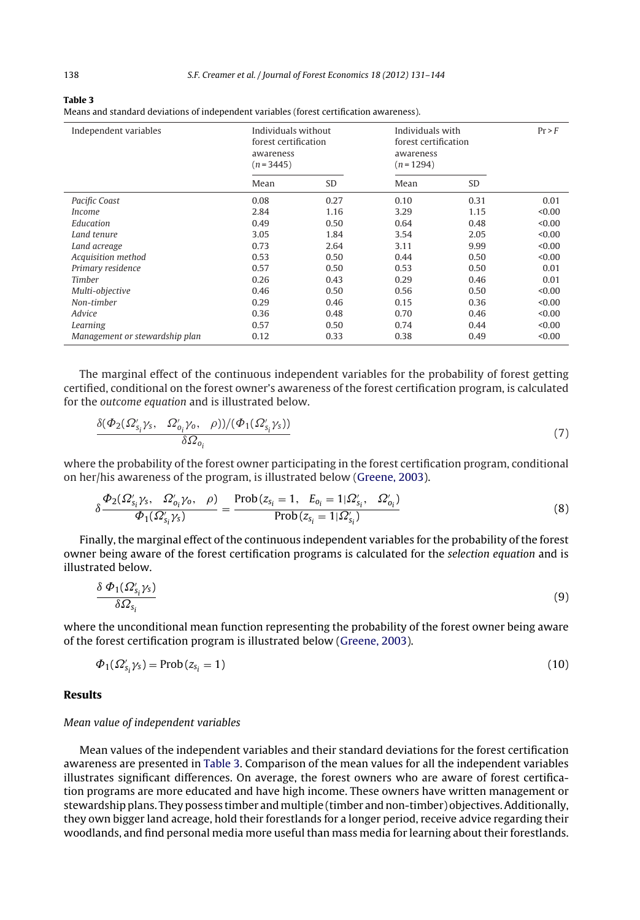| ı<br>× |  |
|--------|--|
|        |  |

#### **Table 3**

| Means and standard deviations of independent variables (forest certification awareness). |  |  |
|------------------------------------------------------------------------------------------|--|--|
|------------------------------------------------------------------------------------------|--|--|

| Independent variables          | Individuals without<br>forest certification<br>awareness<br>$(n=3445)$ |           | Individuals with<br>forest certification<br>awareness<br>$(n=1294)$ |           | Pr > F |
|--------------------------------|------------------------------------------------------------------------|-----------|---------------------------------------------------------------------|-----------|--------|
|                                | Mean                                                                   | <b>SD</b> | Mean                                                                | <b>SD</b> |        |
| Pacific Coast                  | 0.08                                                                   | 0.27      | 0.10                                                                | 0.31      | 0.01   |
| <i>Income</i>                  | 2.84                                                                   | 1.16      | 3.29                                                                | 1.15      | < 0.00 |
| Education                      | 0.49                                                                   | 0.50      | 0.64                                                                | 0.48      | < 0.00 |
| Land tenure                    | 3.05                                                                   | 1.84      | 3.54                                                                | 2.05      | < 0.00 |
| Land acreage                   | 0.73                                                                   | 2.64      | 3.11                                                                | 9.99      | < 0.00 |
| Acquisition method             | 0.53                                                                   | 0.50      | 0.44                                                                | 0.50      | <0.00  |
| Primary residence              | 0.57                                                                   | 0.50      | 0.53                                                                | 0.50      | 0.01   |
| <b>Timber</b>                  | 0.26                                                                   | 0.43      | 0.29                                                                | 0.46      | 0.01   |
| Multi-objective                | 0.46                                                                   | 0.50      | 0.56                                                                | 0.50      | < 0.00 |
| Non-timber                     | 0.29                                                                   | 0.46      | 0.15                                                                | 0.36      | < 0.00 |
| Advice                         | 0.36                                                                   | 0.48      | 0.70                                                                | 0.46      | < 0.00 |
| Learning                       | 0.57                                                                   | 0.50      | 0.74                                                                | 0.44      | < 0.00 |
| Management or stewardship plan | 0.12                                                                   | 0.33      | 0.38                                                                | 0.49      | < 0.00 |

The marginal effect of the continuous independent variables for the probability of forest getting certified, conditional on the forest owner's awareness of the forest certification program, is calculated for the outcome equation and is illustrated below.

$$
\frac{\delta(\Phi_2(\Omega_{s_i}'\gamma_s, \Omega'_{o_i}\gamma_o, \rho)) / (\Phi_1(\Omega_{s_i}'\gamma_s))}{\delta \Omega_{o_i}}
$$
\n
$$
(7)
$$

where the probability of the forest owner participating in the forest certification program, conditional on her/his awareness of the program, is illustrated below [\(Greene, 2003\).](#page-12-0)

$$
\delta \frac{\Phi_2(\Omega'_{s_i}\gamma_s, \ \Omega'_{o_i}\gamma_o, \ \rho)}{\Phi_1(\Omega'_{s_i}\gamma_s)} = \frac{\text{Prob}(z_{s_i} = 1, \ E_{o_i} = 1 | \Omega'_{s_i}, \ \Omega'_{o_i})}{\text{Prob}(z_{s_i} = 1 | \Omega'_{s_i})}
$$
(8)

Finally, the marginal effect of the continuous independent variables for the probability of the forest owner being aware of the forest certification programs is calculated for the selection equation and is illustrated below.

$$
\frac{\delta \Phi_1(\Omega_{s_i}^{\prime} \gamma_s)}{\delta \Omega_{s_i}}
$$
\n(9)

where the unconditional mean function representing the probability of the forest owner being aware of the forest certification program is illustrated below [\(Greene, 2003\).](#page-12-0)

$$
\Phi_1(\Omega'_{s_i}\gamma_s) = \text{Prob}(z_{s_i} = 1) \tag{10}
$$

#### **Results**

#### Mean value of independent variables

Mean values of the independent variables and their standard deviations for the forest certification awareness are presented in Table 3. Comparison of the mean values for all the independent variables illustrates significant differences. On average, the forest owners who are aware of forest certification programs are more educated and have high income. These owners have written management or stewardship plans. They possess timber and multiple (timber and non-timber) objectives. Additionally, they own bigger land acreage, hold their forestlands for a longer period, receive advice regarding their woodlands, and find personal media more useful than mass media for learning about their forestlands.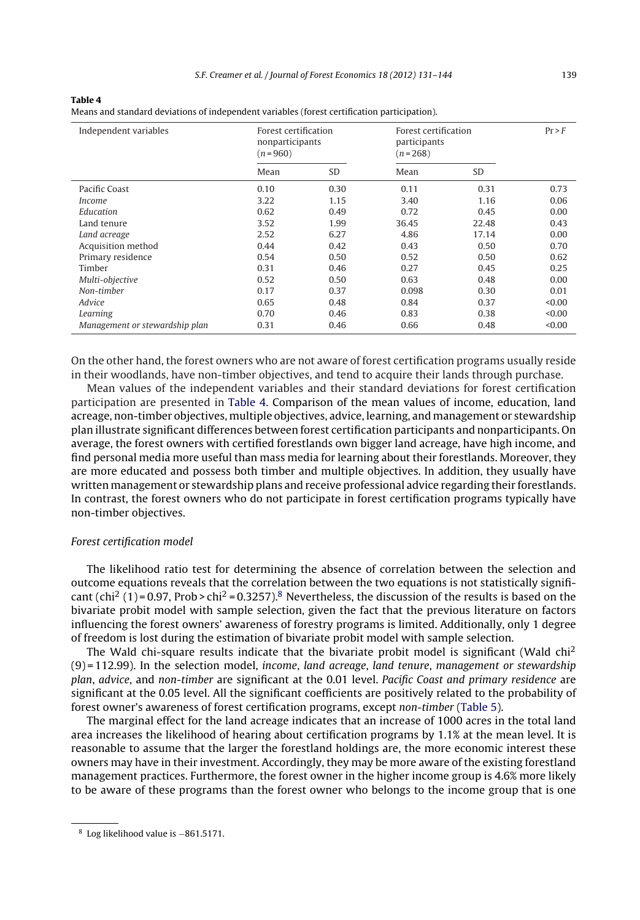|--|--|

| Means and standard deviations of independent variables (forest certification participation). |  |  |  |
|----------------------------------------------------------------------------------------------|--|--|--|
|----------------------------------------------------------------------------------------------|--|--|--|

| Independent variables          | Forest certification<br>nonparticipants<br>$(n = 960)$ |      | Forest certification<br>participants<br>$(n=268)$ |       | Pr > F |
|--------------------------------|--------------------------------------------------------|------|---------------------------------------------------|-------|--------|
|                                | Mean                                                   | SD   | Mean                                              | SD    |        |
| Pacific Coast                  | 0.10                                                   | 0.30 | 0.11                                              | 0.31  | 0.73   |
| <i>Income</i>                  | 3.22                                                   | 1.15 | 3.40                                              | 1.16  | 0.06   |
| Education                      | 0.62                                                   | 0.49 | 0.72                                              | 0.45  | 0.00   |
| Land tenure                    | 3.52                                                   | 1.99 | 36.45                                             | 22.48 | 0.43   |
| Land acreage                   | 2.52                                                   | 6.27 | 4.86                                              | 17.14 | 0.00   |
| Acquisition method             | 0.44                                                   | 0.42 | 0.43                                              | 0.50  | 0.70   |
| Primary residence              | 0.54                                                   | 0.50 | 0.52                                              | 0.50  | 0.62   |
| Timber                         | 0.31                                                   | 0.46 | 0.27                                              | 0.45  | 0.25   |
| Multi-objective                | 0.52                                                   | 0.50 | 0.63                                              | 0.48  | 0.00   |
| Non-timber                     | 0.17                                                   | 0.37 | 0.098                                             | 0.30  | 0.01   |
| Advice                         | 0.65                                                   | 0.48 | 0.84                                              | 0.37  | < 0.00 |
| Learning                       | 0.70                                                   | 0.46 | 0.83                                              | 0.38  | < 0.00 |
| Management or stewardship plan | 0.31                                                   | 0.46 | 0.66                                              | 0.48  | < 0.00 |

On the other hand, the forest owners who are not aware of forest certification programs usually reside in their woodlands, have non-timber objectives, and tend to acquire their lands through purchase.

Mean values of the independent variables and their standard deviations for forest certification participation are presented in Table 4. Comparison of the mean values of income, education, land acreage, non-timber objectives, multiple objectives, advice, learning, and management or stewardship plan illustrate significant differences between forest certification participants and nonparticipants. On average, the forest owners with certified forestlands own bigger land acreage, have high income, and find personal media more useful than mass media for learning about their forestlands. Moreover, they are more educated and possess both timber and multiple objectives. In addition, they usually have written management or stewardship plans and receive professional advice regarding their forestlands. In contrast, the forest owners who do not participate in forest certification programs typically have non-timber objectives.

#### Forest certification model

The likelihood ratio test for determining the absence of correlation between the selection and outcome equations reveals that the correlation between the two equations is not statistically significant (chi<sup>2</sup> (1)=0.97, Prob > chi<sup>2</sup> = 0.3257).<sup>8</sup> Nevertheless, the discussion of the results is based on the bivariate probit model with sample selection, given the fact that the previous literature on factors influencing the forest owners' awareness of forestry programs is limited. Additionally, only 1 degree of freedom is lost during the estimation of bivariate probit model with sample selection.

The Wald chi-square results indicate that the bivariate probit model is significant (Wald chi $2$ )  $(9) = 112.99$ ). In the selection model, income, land acreage, land tenure, management or stewardship plan, advice, and non-timber are significant at the 0.01 level. Pacific Coast and primary residence are significant at the 0.05 level. All the significant coefficients are positively related to the probability of forest owner's awareness of forest certification programs, except non-timber ([Table 5\).](#page-9-0)

The marginal effect for the land acreage indicates that an increase of 1000 acres in the total land area increases the likelihood of hearing about certification programs by 1.1% at the mean level. It is reasonable to assume that the larger the forestland holdings are, the more economic interest these owners may have in their investment. Accordingly, they may be more aware of the existing forestland management practices. Furthermore, the forest owner in the higher income group is 4.6% more likely to be aware of these programs than the forest owner who belongs to the income group that is one

<sup>8</sup> Log likelihood value is <sup>−</sup>861.5171.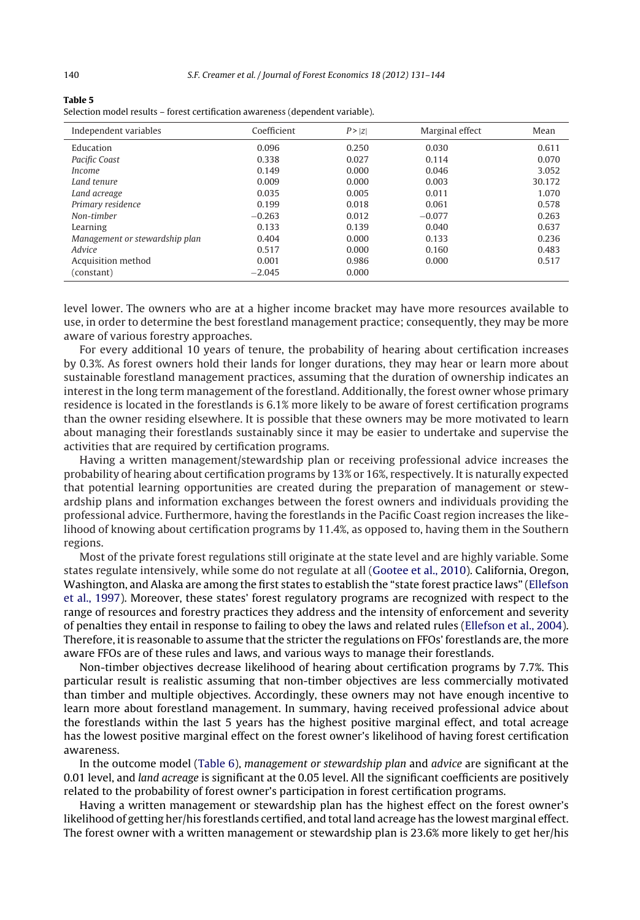| Independent variables          | Coefficient | P >  z | Marginal effect | Mean   |
|--------------------------------|-------------|--------|-----------------|--------|
| Education                      | 0.096       | 0.250  | 0.030           | 0.611  |
| Pacific Coast                  | 0.338       | 0.027  | 0.114           | 0.070  |
| <i>Income</i>                  | 0.149       | 0.000  | 0.046           | 3.052  |
| Land tenure                    | 0.009       | 0.000  | 0.003           | 30.172 |
| Land acreage                   | 0.035       | 0.005  | 0.011           | 1.070  |
| Primary residence              | 0.199       | 0.018  | 0.061           | 0.578  |
| Non-timber                     | $-0.263$    | 0.012  | $-0.077$        | 0.263  |
| Learning                       | 0.133       | 0.139  | 0.040           | 0.637  |
| Management or stewardship plan | 0.404       | 0.000  | 0.133           | 0.236  |
| Advice                         | 0.517       | 0.000  | 0.160           | 0.483  |
| Acquisition method             | 0.001       | 0.986  | 0.000           | 0.517  |
| (constant)                     | $-2.045$    | 0.000  |                 |        |

Selection model results – forest certification awareness (dependent variable).

level lower. The owners who are at a higher income bracket may have more resources available to use, in order to determine the best forestland management practice; consequently, they may be more aware of various forestry approaches.

For every additional 10 years of tenure, the probability of hearing about certification increases by 0.3%. As forest owners hold their lands for longer durations, they may hear or learn more about sustainable forestland management practices, assuming that the duration of ownership indicates an interest in the long term management of the forestland. Additionally, the forest owner whose primary residence is located in the forestlands is 6.1% more likely to be aware of forest certification programs than the owner residing elsewhere. It is possible that these owners may be more motivated to learn about managing their forestlands sustainably since it may be easier to undertake and supervise the activities that are required by certification programs.

Having a written management/stewardship plan or receiving professional advice increases the probability of hearing about certification programs by 13% or 16%, respectively. It is naturally expected that potential learning opportunities are created during the preparation of management or stewardship plans and information exchanges between the forest owners and individuals providing the professional advice. Furthermore, having the forestlands in the Pacific Coast region increases the likelihood of knowing about certification programs by 11.4%, as opposed to, having them in the Southern regions.

Most of the private forest regulations still originate at the state level and are highly variable. Some states regulate intensively, while some do not regulate at all ([Gootee et al., 2010\).](#page-12-0) California, Oregon, Washington, and Alaska are among the first states to establish the "state forest practice laws" [\(Ellefson](#page-12-0) [et al., 1997\).](#page-12-0) Moreover, these states' forest regulatory programs are recognized with respect to the range of resources and forestry practices they address and the intensity of enforcement and severity of penalties they entail in response to failing to obey the laws and related rules ([Ellefson et al., 2004\).](#page-12-0) Therefore, it is reasonable to assume that the stricter the regulations on FFOs' forestlands are, the more aware FFOs are of these rules and laws, and various ways to manage their forestlands.

Non-timber objectives decrease likelihood of hearing about certification programs by 7.7%. This particular result is realistic assuming that non-timber objectives are less commercially motivated than timber and multiple objectives. Accordingly, these owners may not have enough incentive to learn more about forestland management. In summary, having received professional advice about the forestlands within the last 5 years has the highest positive marginal effect, and total acreage has the lowest positive marginal effect on the forest owner's likelihood of having forest certification awareness.

In the outcome model ([Table 6\),](#page-10-0) management or stewardship plan and advice are significant at the 0.01 level, and land acreage is significant at the 0.05 level. All the significant coefficients are positively related to the probability of forest owner's participation in forest certification programs.

Having a written management or stewardship plan has the highest effect on the forest owner's likelihood of getting her/his forestlands certified, and total land acreage has the lowest marginal effect. The forest owner with a written management or stewardship plan is 23.6% more likely to get her/his

<span id="page-9-0"></span>**Table 5**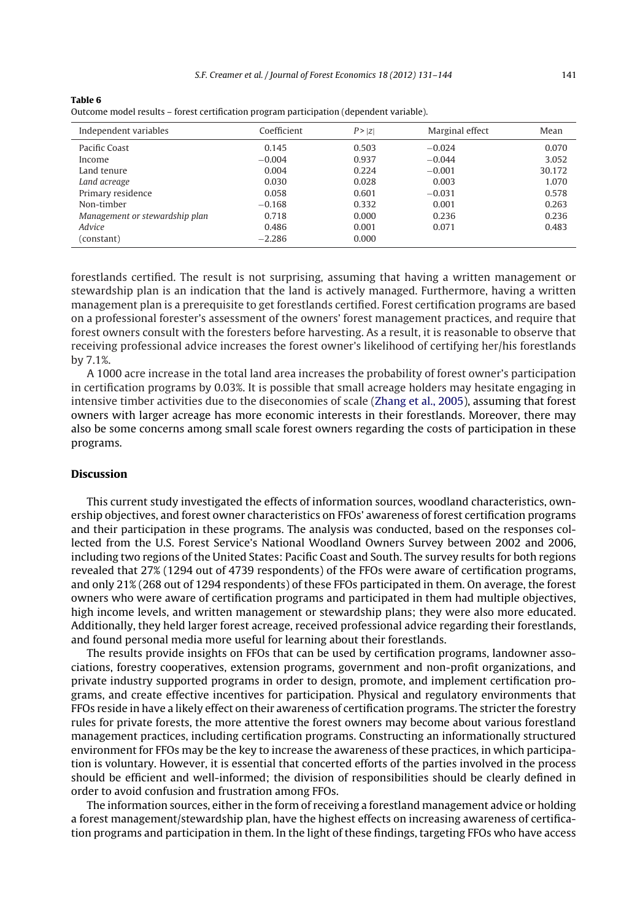<span id="page-10-0"></span>

|--|--|

| Independent variables          | Coefficient | P >  z | Marginal effect | Mean   |
|--------------------------------|-------------|--------|-----------------|--------|
| Pacific Coast                  | 0.145       | 0.503  | $-0.024$        | 0.070  |
| Income                         | $-0.004$    | 0.937  | $-0.044$        | 3.052  |
| Land tenure                    | 0.004       | 0.224  | $-0.001$        | 30.172 |
| Land acreage                   | 0.030       | 0.028  | 0.003           | 1.070  |
| Primary residence              | 0.058       | 0.601  | $-0.031$        | 0.578  |
| Non-timber                     | $-0.168$    | 0.332  | 0.001           | 0.263  |
| Management or stewardship plan | 0.718       | 0.000  | 0.236           | 0.236  |
| Advice                         | 0.486       | 0.001  | 0.071           | 0.483  |
| (constant)                     | $-2.286$    | 0.000  |                 |        |

forestlands certified. The result is not surprising, assuming that having a written management or stewardship plan is an indication that the land is actively managed. Furthermore, having a written management plan is a prerequisite to get forestlands certified. Forest certification programs are based on a professional forester's assessment of the owners' forest management practices, and require that forest owners consult with the foresters before harvesting. As a result, it is reasonable to observe that receiving professional advice increases the forest owner's likelihood of certifying her/his forestlands by 7.1%.

A 1000 acre increase in the total land area increases the probability of forest owner's participation in certification programs by 0.03%. It is possible that small acreage holders may hesitate engaging in intensive timber activities due to the diseconomies of scale ([Zhang et al., 2005\),](#page-13-0) assuming that forest owners with larger acreage has more economic interests in their forestlands. Moreover, there may also be some concerns among small scale forest owners regarding the costs of participation in these programs.

#### **Discussion**

This current study investigated the effects of information sources, woodland characteristics, ownership objectives, and forest owner characteristics on FFOs' awareness of forest certification programs and their participation in these programs. The analysis was conducted, based on the responses collected from the U.S. Forest Service's National Woodland Owners Survey between 2002 and 2006, including two regions of the United States: Pacific Coast and South. The survey results for both regions revealed that 27% (1294 out of 4739 respondents) of the FFOs were aware of certification programs, and only 21% (268 out of 1294 respondents) of these FFOs participated in them. On average, the forest owners who were aware of certification programs and participated in them had multiple objectives, high income levels, and written management or stewardship plans; they were also more educated. Additionally, they held larger forest acreage, received professional advice regarding their forestlands, and found personal media more useful for learning about their forestlands.

The results provide insights on FFOs that can be used by certification programs, landowner associations, forestry cooperatives, extension programs, government and non-profit organizations, and private industry supported programs in order to design, promote, and implement certification programs, and create effective incentives for participation. Physical and regulatory environments that FFOs reside in have a likely effect on their awareness of certification programs. The stricter the forestry rules for private forests, the more attentive the forest owners may become about various forestland management practices, including certification programs. Constructing an informationally structured environment for FFOs may be the key to increase the awareness of these practices, in which participation is voluntary. However, it is essential that concerted efforts of the parties involved in the process should be efficient and well-informed; the division of responsibilities should be clearly defined in order to avoid confusion and frustration among FFOs.

The information sources, either in the form of receiving a forestland management advice or holding a forest management/stewardship plan, have the highest effects on increasing awareness of certification programs and participation in them. In the light of these findings, targeting FFOs who have access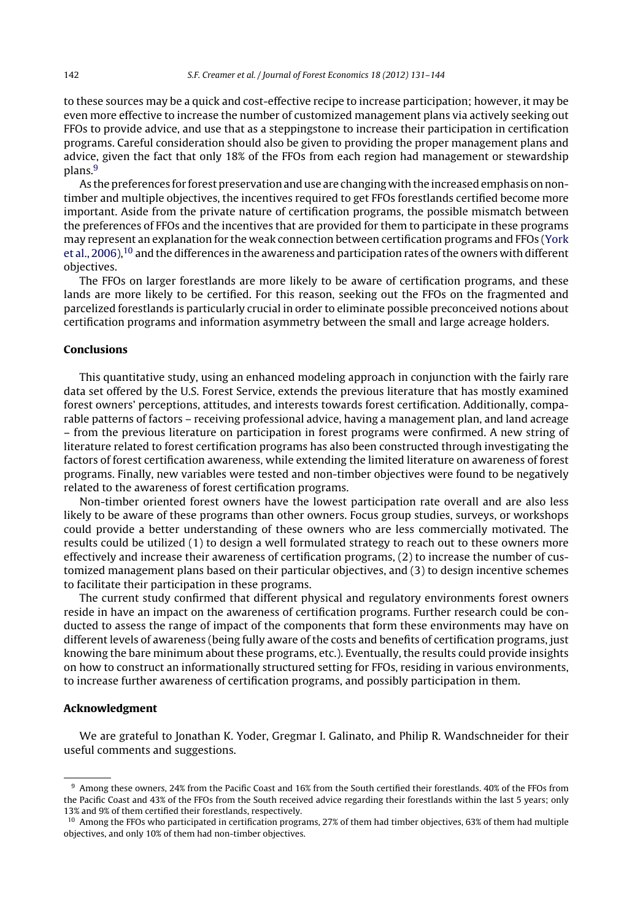to these sources may be a quick and cost-effective recipe to increase participation; however, it may be even more effective to increase the number of customized management plans via actively seeking out FFOs to provide advice, and use that as a steppingstone to increase their participation in certification programs. Careful consideration should also be given to providing the proper management plans and advice, given the fact that only 18% of the FFOs from each region had management or stewardship plans.9

As the preferences for forest preservation and use are changing with the increased emphasis on nontimber and multiple objectives, the incentives required to get FFOs forestlands certified become more important. Aside from the private nature of certification programs, the possible mismatch between the preferences of FFOs and the incentives that are provided for them to participate in these programs may represent an explanation for the weak connection between certification programs and FFOs ([York](#page-13-0) [et al., 2006\),1](#page-13-0)0 and the differences in the awareness and participation rates of the owners with different objectives.

The FFOs on larger forestlands are more likely to be aware of certification programs, and these lands are more likely to be certified. For this reason, seeking out the FFOs on the fragmented and parcelized forestlands is particularly crucial in order to eliminate possible preconceived notions about certification programs and information asymmetry between the small and large acreage holders.

#### **Conclusions**

This quantitative study, using an enhanced modeling approach in conjunction with the fairly rare data set offered by the U.S. Forest Service, extends the previous literature that has mostly examined forest owners' perceptions, attitudes, and interests towards forest certification. Additionally, comparable patterns of factors – receiving professional advice, having a management plan, and land acreage – from the previous literature on participation in forest programs were confirmed. A new string of literature related to forest certification programs has also been constructed through investigating the factors of forest certification awareness, while extending the limited literature on awareness of forest programs. Finally, new variables were tested and non-timber objectives were found to be negatively related to the awareness of forest certification programs.

Non-timber oriented forest owners have the lowest participation rate overall and are also less likely to be aware of these programs than other owners. Focus group studies, surveys, or workshops could provide a better understanding of these owners who are less commercially motivated. The results could be utilized (1) to design a well formulated strategy to reach out to these owners more effectively and increase their awareness of certification programs, (2) to increase the number of customized management plans based on their particular objectives, and (3) to design incentive schemes to facilitate their participation in these programs.

The current study confirmed that different physical and regulatory environments forest owners reside in have an impact on the awareness of certification programs. Further research could be conducted to assess the range of impact of the components that form these environments may have on different levels of awareness (being fully aware of the costs and benefits of certification programs, just knowing the bare minimum about these programs, etc.). Eventually, the results could provide insights on how to construct an informationally structured setting for FFOs, residing in various environments, to increase further awareness of certification programs, and possibly participation in them.

#### **Acknowledgment**

We are grateful to Jonathan K. Yoder, Gregmar I. Galinato, and Philip R. Wandschneider for their useful comments and suggestions.

<sup>9</sup> Among these owners, 24% from the Pacific Coast and 16% from the South certified their forestlands. 40% of the FFOs from the Pacific Coast and 43% of the FFOs from the South received advice regarding their forestlands within the last 5 years; only 13% and 9% of them certified their forestlands, respectively.

 $10$  Among the FFOs who participated in certification programs, 27% of them had timber objectives, 63% of them had multiple objectives, and only 10% of them had non-timber objectives.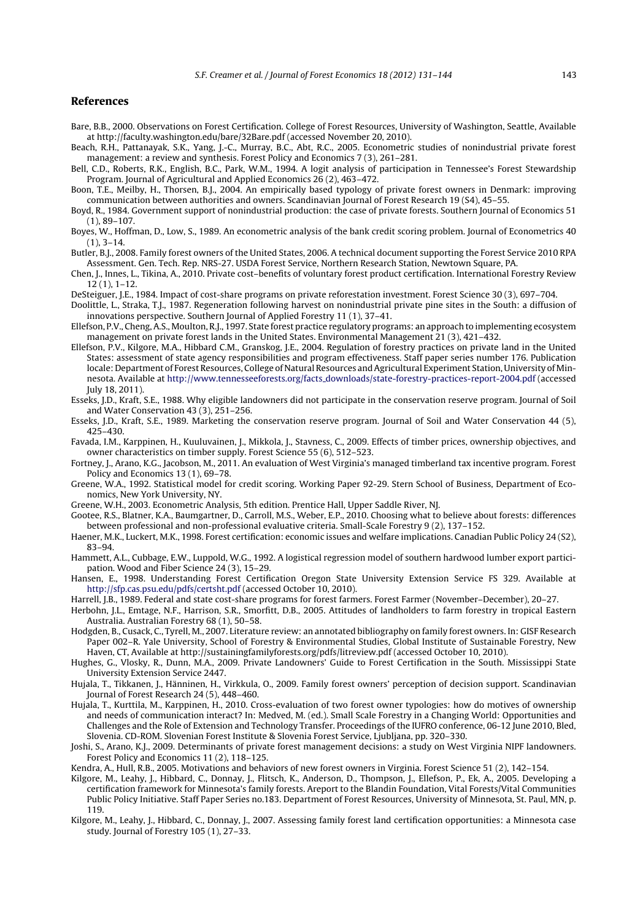#### <span id="page-12-0"></span>**References**

- Bare, B.B., 2000. Observations on Forest Certification. College of Forest Resources, University of Washington, Seattle, Available at http://faculty.washington.edu/bare/32Bare.pdf (accessed November 20, 2010).
- Beach, R.H., Pattanayak, S.K., Yang, J.-C., Murray, B.C., Abt, R.C., 2005. Econometric studies of nonindustrial private forest management: a review and synthesis. Forest Policy and Economics 7 (3), 261–281.
- Bell, C.D., Roberts, R.K., English, B.C., Park, W.M., 1994. A logit analysis of participation in Tennessee's Forest Stewardship Program. Journal of Agricultural and Applied Economics 26 (2), 463–472.
- Boon, T.E., Meilby, H., Thorsen, B.J., 2004. An empirically based typology of private forest owners in Denmark: improving communication between authorities and owners. Scandinavian Journal of Forest Research 19 (S4), 45–55.
- Boyd, R., 1984. Government support of nonindustrial production: the case of private forests. Southern Journal of Economics 51 (1), 89–107.
- Boyes, W., Hoffman, D., Low, S., 1989. An econometric analysis of the bank credit scoring problem. Journal of Econometrics 40 (1), 3–14.
- Butler, B.J., 2008. Family forest owners of the United States, 2006. A technical document supporting the Forest Service 2010 RPA Assessment. Gen. Tech. Rep. NRS-27. USDA Forest Service, Northern Research Station, Newtown Square, PA.
- Chen, J., Innes, L., Tikina, A., 2010. Private cost–benefits of voluntary forest product certification. International Forestry Review  $12(1), 1-12.$
- DeSteiguer, J.E., 1984. Impact of cost-share programs on private reforestation investment. Forest Science 30 (3), 697–704.
- Doolittle, L., Straka, T.J., 1987. Regeneration following harvest on nonindustrial private pine sites in the South: a diffusion of innovations perspective. Southern Journal of Applied Forestry 11 (1), 37–41.
- Ellefson, P.V., Cheng, A.S., Moulton, R.J., 1997. State forest practice regulatory programs: an approach to implementing ecosystem management on private forest lands in the United States. Environmental Management 21 (3), 421–432.
- Ellefson, P.V., Kilgore, M.A., Hibbard C.M., Granskog, J.E., 2004. Regulation of forestry practices on private land in the United States: assessment of state agency responsibilities and program effectiveness. Staff paper series number 176. Publication locale: Department of Forest Resources, College of Natural Resources and Agricultural Experiment Station, University of Minnesota. Available at http://www.tennesseeforests.org/facts [downloads/state-forestry-practices-report-2004.pdf](http://www.tennesseeforests.org/facts_downloads/state-forestry-practices-report-2004.pdf) (accessed July 18, 2011).
- Esseks, J.D., Kraft, S.E., 1988. Why eligible landowners did not participate in the conservation reserve program. Journal of Soil and Water Conservation 43 (3), 251–256.
- Esseks, J.D., Kraft, S.E., 1989. Marketing the conservation reserve program. Journal of Soil and Water Conservation 44 (5), 425–430.
- Favada, I.M., Karppinen, H., Kuuluvainen, J., Mikkola, J., Stavness, C., 2009. Effects of timber prices, ownership objectives, and owner characteristics on timber supply. Forest Science 55 (6), 512–523.
- Fortney, J., Arano, K.G., Jacobson, M., 2011. An evaluation of West Virginia's managed timberland tax incentive program. Forest Policy and Economics 13 (1), 69–78.
- Greene, W.A., 1992. Statistical model for credit scoring. Working Paper 92-29. Stern School of Business, Department of Economics, New York University, NY.
- Greene, W.H., 2003. Econometric Analysis, 5th edition. Prentice Hall, Upper Saddle River, NJ.
- Gootee, R.S., Blatner, K.A., Baumgartner, D., Carroll, M.S., Weber, E.P., 2010. Choosing what to believe about forests: differences between professional and non-professional evaluative criteria. Small-Scale Forestry 9 (2), 137–152.
- Haener, M.K., Luckert, M.K., 1998. Forest certification: economic issues and welfare implications. Canadian Public Policy 24 (S2), 83–94.
- Hammett, A.L., Cubbage, E.W., Luppold, W.G., 1992. A logistical regression model of southern hardwood lumber export participation. Wood and Fiber Science 24 (3), 15–29.
- Hansen, E., 1998. Understanding Forest Certification Oregon State University Extension Service FS 329. Available at <http://sfp.cas.psu.edu/pdfs/certsht.pdf> (accessed October 10, 2010).
- Harrell, J.B., 1989. Federal and state cost-share programs for forest farmers. Forest Farmer (November–December), 20–27.
- Herbohn, J.L., Emtage, N.F., Harrison, S.R., Smorfitt, D.B., 2005. Attitudes of landholders to farm forestry in tropical Eastern Australia. Australian Forestry 68 (1), 50–58.
- Hodgden, B., Cusack, C., Tyrell, M., 2007. Literature review: an annotated bibliography on family forest owners. In: GISF Research Paper 002–R. Yale University, School of Forestry & Environmental Studies, Global Institute of Sustainable Forestry, New Haven, CT, Available at http://sustainingfamilyforests.org/pdfs/litreview.pdf (accessed October 10, 2010).
- Hughes, G., Vlosky, R., Dunn, M.A., 2009. Private Landowners' Guide to Forest Certification in the South. Mississippi State University Extension Service 2447.
- Hujala, T., Tikkanen, J., Hänninen, H., Virkkula, O., 2009. Family forest owners' perception of decision support. Scandinavian Journal of Forest Research 24 (5), 448–460.
- Hujala, T., Kurttila, M., Karppinen, H., 2010. Cross-evaluation of two forest owner typologies: how do motives of ownership and needs of communication interact? In: Medved, M. (ed.). Small Scale Forestry in a Changing World: Opportunities and Challenges and the Role of Extension and Technology Transfer. Proceedings of the IUFRO conference, 06-12 June 2010, Bled, Slovenia. CD-ROM. Slovenian Forest Institute & Slovenia Forest Service, Ljubljana, pp. 320–330.
- Joshi, S., Arano, K.J., 2009. Determinants of private forest management decisions: a study on West Virginia NIPF landowners. Forest Policy and Economics 11 (2), 118–125.
- Kendra, A., Hull, R.B., 2005. Motivations and behaviors of new forest owners in Virginia. Forest Science 51 (2), 142–154.
- Kilgore, M., Leahy, J., Hibbard, C., Donnay, J., Flitsch, K., Anderson, D., Thompson, J., Ellefson, P., Ek, A., 2005. Developing a certification framework for Minnesota's family forests. Areport to the Blandin Foundation, Vital Forests/Vital Communities Public Policy Initiative. Staff Paper Series no.183. Department of Forest Resources, University of Minnesota, St. Paul, MN, p. 119.
- Kilgore, M., Leahy, J., Hibbard, C., Donnay, J., 2007. Assessing family forest land certification opportunities: a Minnesota case study. Journal of Forestry 105 (1), 27–33.